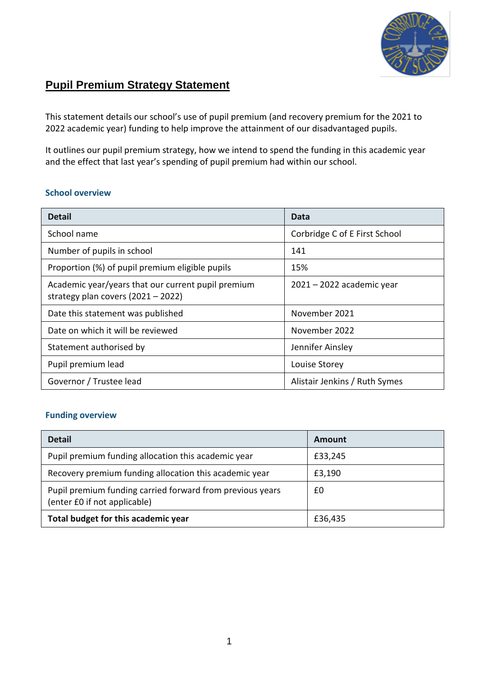

### **Pupil Premium Strategy Statement**

This statement details our school's use of pupil premium (and recovery premium for the 2021 to 2022 academic year) funding to help improve the attainment of our disadvantaged pupils.

It outlines our pupil premium strategy, how we intend to spend the funding in this academic year and the effect that last year's spending of pupil premium had within our school.

### **School overview**

| <b>Detail</b>                                                                              | Data                          |
|--------------------------------------------------------------------------------------------|-------------------------------|
| School name                                                                                | Corbridge C of E First School |
| Number of pupils in school                                                                 | 141                           |
| Proportion (%) of pupil premium eligible pupils                                            | 15%                           |
| Academic year/years that our current pupil premium<br>strategy plan covers $(2021 - 2022)$ | $2021 - 2022$ academic year   |
| Date this statement was published                                                          | November 2021                 |
| Date on which it will be reviewed                                                          | November 2022                 |
| Statement authorised by                                                                    | Jennifer Ainsley              |
| Pupil premium lead                                                                         | Louise Storey                 |
| Governor / Trustee lead                                                                    | Alistair Jenkins / Ruth Symes |

### **Funding overview**

| <b>Detail</b>                                                                             | Amount  |
|-------------------------------------------------------------------------------------------|---------|
| Pupil premium funding allocation this academic year                                       | £33,245 |
| Recovery premium funding allocation this academic year                                    | £3,190  |
| Pupil premium funding carried forward from previous years<br>(enter £0 if not applicable) | £0      |
| Total budget for this academic year                                                       | £36,435 |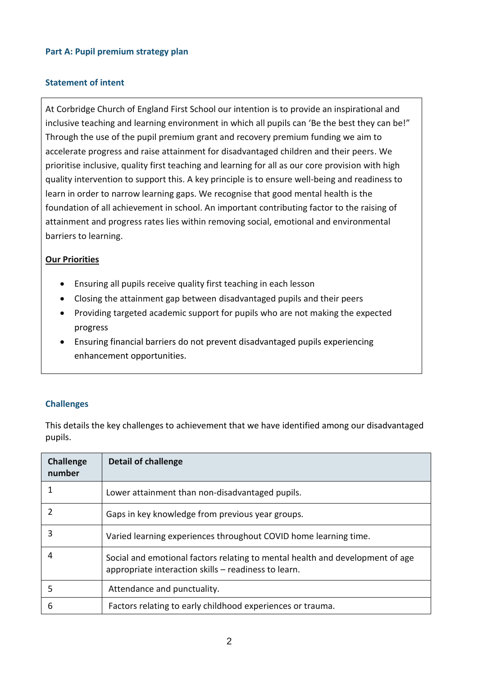### **Part A: Pupil premium strategy plan**

### **Statement of intent**

At Corbridge Church of England First School our intention is to provide an inspirational and inclusive teaching and learning environment in which all pupils can 'Be the best they can be!" Through the use of the pupil premium grant and recovery premium funding we aim to accelerate progress and raise attainment for disadvantaged children and their peers. We prioritise inclusive, quality first teaching and learning for all as our core provision with high quality intervention to support this. A key principle is to ensure well-being and readiness to learn in order to narrow learning gaps. We recognise that good mental health is the foundation of all achievement in school. An important contributing factor to the raising of attainment and progress rates lies within removing social, emotional and environmental barriers to learning.

### **Our Priorities**

- Ensuring all pupils receive quality first teaching in each lesson
- Closing the attainment gap between disadvantaged pupils and their peers
- Providing targeted academic support for pupils who are not making the expected progress
- Ensuring financial barriers do not prevent disadvantaged pupils experiencing enhancement opportunities.

### **Challenges**

This details the key challenges to achievement that we have identified among our disadvantaged pupils.

| <b>Challenge</b><br>number | Detail of challenge                                                                                                                   |
|----------------------------|---------------------------------------------------------------------------------------------------------------------------------------|
|                            | Lower attainment than non-disadvantaged pupils.                                                                                       |
|                            | Gaps in key knowledge from previous year groups.                                                                                      |
| 3                          | Varied learning experiences throughout COVID home learning time.                                                                      |
| 4                          | Social and emotional factors relating to mental health and development of age<br>appropriate interaction skills – readiness to learn. |
| 5                          | Attendance and punctuality.                                                                                                           |
| 6                          | Factors relating to early childhood experiences or trauma.                                                                            |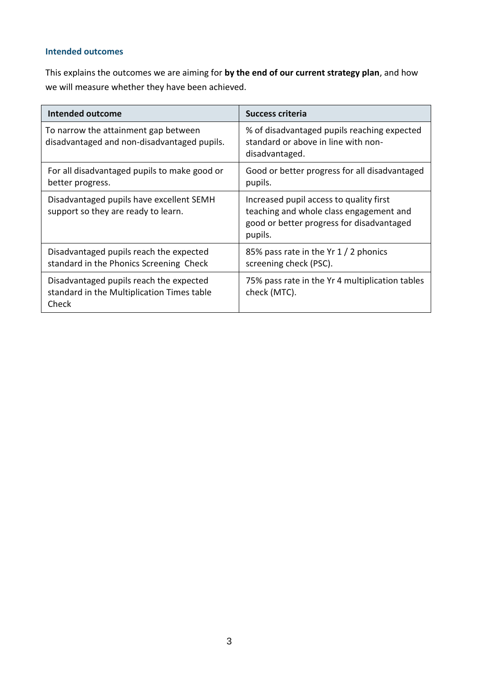### **Intended outcomes**

This explains the outcomes we are aiming for **by the end of our current strategy plan**, and how we will measure whether they have been achieved.

| <b>Intended outcome</b>                                                                        | <b>Success criteria</b>                                                                                                                    |
|------------------------------------------------------------------------------------------------|--------------------------------------------------------------------------------------------------------------------------------------------|
| To narrow the attainment gap between<br>disadvantaged and non-disadvantaged pupils.            | % of disadvantaged pupils reaching expected<br>standard or above in line with non-<br>disadvantaged.                                       |
| For all disadvantaged pupils to make good or<br>better progress.                               | Good or better progress for all disadvantaged<br>pupils.                                                                                   |
| Disadvantaged pupils have excellent SEMH<br>support so they are ready to learn.                | Increased pupil access to quality first<br>teaching and whole class engagement and<br>good or better progress for disadvantaged<br>pupils. |
| Disadvantaged pupils reach the expected<br>standard in the Phonics Screening Check             | 85% pass rate in the Yr 1 / 2 phonics<br>screening check (PSC).                                                                            |
| Disadvantaged pupils reach the expected<br>standard in the Multiplication Times table<br>Check | 75% pass rate in the Yr 4 multiplication tables<br>check (MTC).                                                                            |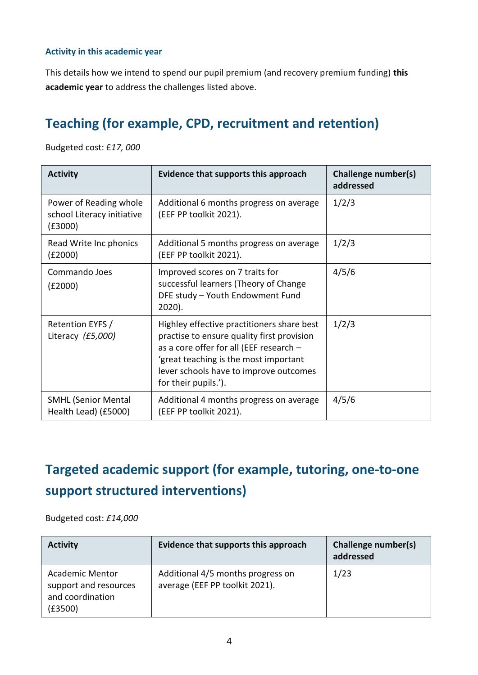### **Activity in this academic year**

This details how we intend to spend our pupil premium (and recovery premium funding) **this academic year** to address the challenges listed above.

### **Teaching (for example, CPD, recruitment and retention)**

Budgeted cost: £*17, 000*

| <b>Activity</b>                                                 | Evidence that supports this approach                                                                                                                                                                                                           | Challenge number(s)<br>addressed |
|-----------------------------------------------------------------|------------------------------------------------------------------------------------------------------------------------------------------------------------------------------------------------------------------------------------------------|----------------------------------|
| Power of Reading whole<br>school Literacy initiative<br>(£3000) | Additional 6 months progress on average<br>(EEF PP toolkit 2021).                                                                                                                                                                              | 1/2/3                            |
| Read Write Inc phonics<br>(£2000)                               | Additional 5 months progress on average<br>(EEF PP toolkit 2021).                                                                                                                                                                              | 1/2/3                            |
| Commando Joes<br>(E2000)                                        | Improved scores on 7 traits for<br>successful learners (Theory of Change<br>DFE study - Youth Endowment Fund<br>2020).                                                                                                                         | 4/5/6                            |
| Retention EYFS /<br>Literacy (£5,000)                           | Highley effective practitioners share best<br>practise to ensure quality first provision<br>as a core offer for all (EEF research -<br>'great teaching is the most important<br>lever schools have to improve outcomes<br>for their pupils.'). | 1/2/3                            |
| <b>SMHL (Senior Mental</b><br>Health Lead) (£5000)              | Additional 4 months progress on average<br>(EEF PP toolkit 2021).                                                                                                                                                                              | 4/5/6                            |

### **Targeted academic support (for example, tutoring, one-to-one support structured interventions)**

Budgeted cost: *£14,000*

| <b>Activity</b>                                                                | Evidence that supports this approach                                | Challenge number(s)<br>addressed |
|--------------------------------------------------------------------------------|---------------------------------------------------------------------|----------------------------------|
| <b>Academic Mentor</b><br>support and resources<br>and coordination<br>(£3500) | Additional 4/5 months progress on<br>average (EEF PP toolkit 2021). | 1/23                             |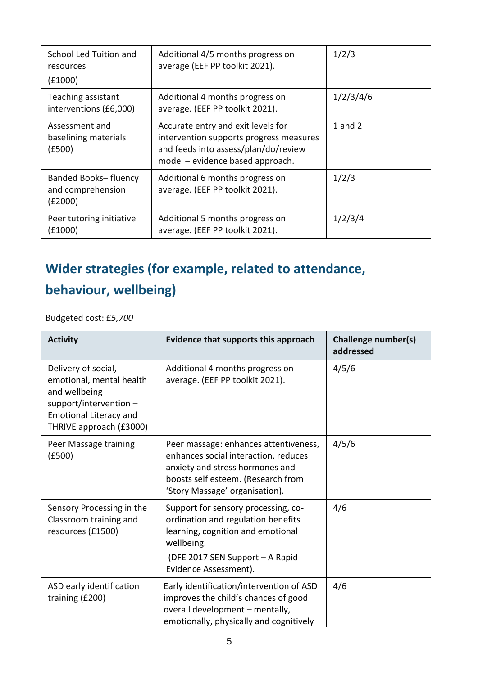| School Led Tuition and<br>resources<br>(£1000)        | Additional 4/5 months progress on<br>average (EEF PP toolkit 2021).                                                                                       | 1/2/3     |
|-------------------------------------------------------|-----------------------------------------------------------------------------------------------------------------------------------------------------------|-----------|
| Teaching assistant<br>interventions (£6,000)          | Additional 4 months progress on<br>average. (EEF PP toolkit 2021).                                                                                        | 1/2/3/4/6 |
| Assessment and<br>baselining materials<br>(E500)      | Accurate entry and exit levels for<br>intervention supports progress measures<br>and feeds into assess/plan/do/review<br>model - evidence based approach. | 1 and $2$ |
| Banded Books- fluency<br>and comprehension<br>(£2000) | Additional 6 months progress on<br>average. (EEF PP toolkit 2021).                                                                                        | 1/2/3     |
| Peer tutoring initiative<br>(£1000)                   | Additional 5 months progress on<br>average. (EEF PP toolkit 2021).                                                                                        | 1/2/3/4   |

# **Wider strategies (for example, related to attendance, behaviour, wellbeing)**

Budgeted cost: £*5,700*

| <b>Activity</b>                                                                                                                                          | Evidence that supports this approach                                                                                                                                                     | <b>Challenge number(s)</b><br>addressed |
|----------------------------------------------------------------------------------------------------------------------------------------------------------|------------------------------------------------------------------------------------------------------------------------------------------------------------------------------------------|-----------------------------------------|
| Delivery of social,<br>emotional, mental health<br>and wellbeing<br>support/intervention $-$<br><b>Emotional Literacy and</b><br>THRIVE approach (£3000) | Additional 4 months progress on<br>average. (EEF PP toolkit 2021).                                                                                                                       | 4/5/6                                   |
| Peer Massage training<br>(E500)                                                                                                                          | Peer massage: enhances attentiveness,<br>enhances social interaction, reduces<br>anxiety and stress hormones and<br>boosts self esteem. (Research from<br>'Story Massage' organisation). | 4/5/6                                   |
| Sensory Processing in the<br>Classroom training and<br>resources (£1500)                                                                                 | Support for sensory processing, co-<br>ordination and regulation benefits<br>learning, cognition and emotional<br>wellbeing.<br>(DFE 2017 SEN Support - A Rapid<br>Evidence Assessment). | 4/6                                     |
| ASD early identification<br>training (£200)                                                                                                              | Early identification/intervention of ASD<br>improves the child's chances of good<br>overall development - mentally,<br>emotionally, physically and cognitively                           | 4/6                                     |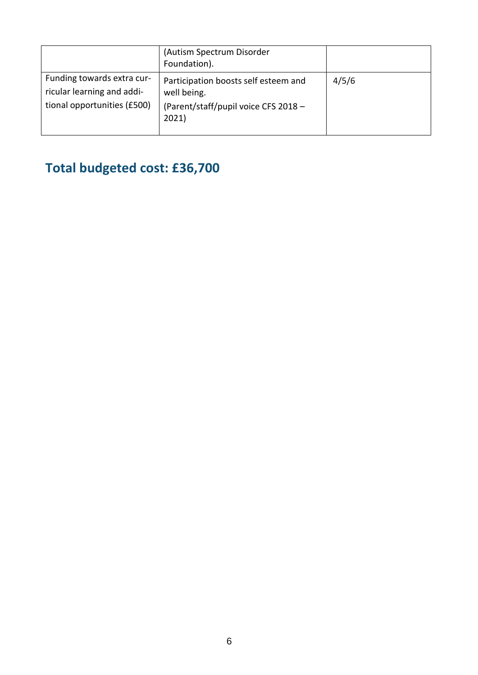|                                                                                         | (Autism Spectrum Disorder<br>Foundation).                                                            |       |
|-----------------------------------------------------------------------------------------|------------------------------------------------------------------------------------------------------|-------|
| Funding towards extra cur-<br>ricular learning and addi-<br>tional opportunities (£500) | Participation boosts self esteem and<br>well being.<br>(Parent/staff/pupil voice CFS 2018 -<br>2021) | 4/5/6 |

# **Total budgeted cost: £36,700**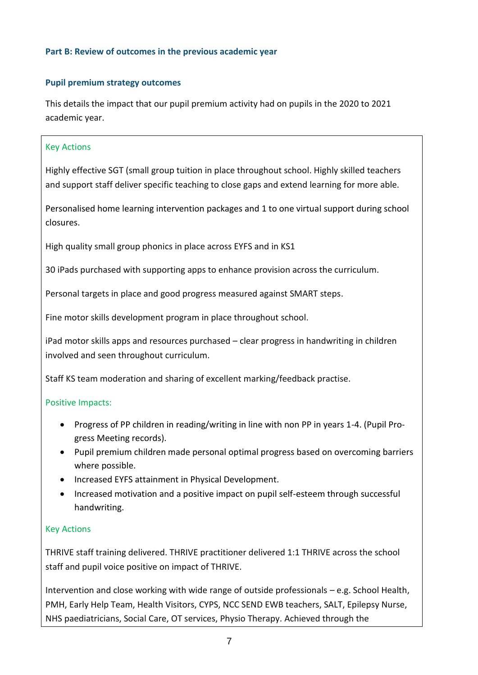### **Part B: Review of outcomes in the previous academic year**

### **Pupil premium strategy outcomes**

This details the impact that our pupil premium activity had on pupils in the 2020 to 2021 academic year.

#### Key Actions

Highly effective SGT (small group tuition in place throughout school. Highly skilled teachers and support staff deliver specific teaching to close gaps and extend learning for more able.

Personalised home learning intervention packages and 1 to one virtual support during school closures.

High quality small group phonics in place across EYFS and in KS1

30 iPads purchased with supporting apps to enhance provision across the curriculum.

Personal targets in place and good progress measured against SMART steps.

Fine motor skills development program in place throughout school.

iPad motor skills apps and resources purchased – clear progress in handwriting in children involved and seen throughout curriculum.

Staff KS team moderation and sharing of excellent marking/feedback practise.

### Positive Impacts:

- Progress of PP children in reading/writing in line with non PP in years 1-4. (Pupil Progress Meeting records).
- Pupil premium children made personal optimal progress based on overcoming barriers where possible.
- Increased EYFS attainment in Physical Development.
- Increased motivation and a positive impact on pupil self-esteem through successful handwriting.

### Key Actions

THRIVE staff training delivered. THRIVE practitioner delivered 1:1 THRIVE across the school staff and pupil voice positive on impact of THRIVE.

Intervention and close working with wide range of outside professionals – e.g. School Health, PMH, Early Help Team, Health Visitors, CYPS, NCC SEND EWB teachers, SALT, Epilepsy Nurse, NHS paediatricians, Social Care, OT services, Physio Therapy. Achieved through the